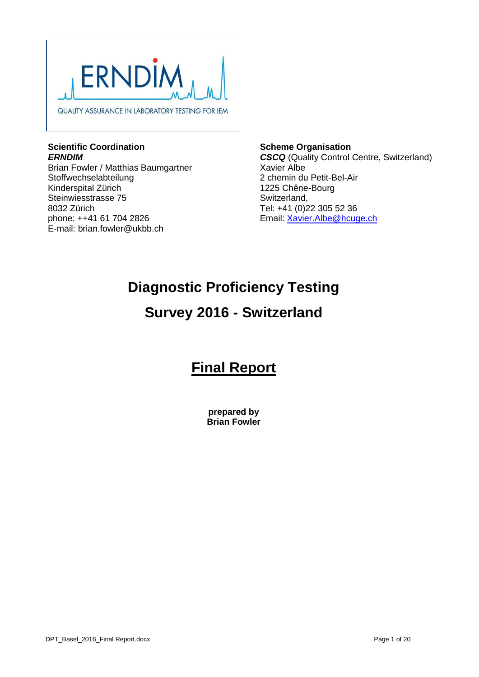

### **Scientific Coordination** *ERNDIM*

Brian Fowler / Matthias Baumgartner Stoffwechselabteilung Kinderspital Zürich Steinwiesstrasse 75 8032 Zürich phone: ++41 61 704 2826 E-mail: brian.fowler@ukbb.ch

**Scheme Organisation** *CSCQ* (Quality Control Centre, Switzerland) Xavier Albe 2 chemin du Petit-Bel-Air 1225 Chêne-Bourg Switzerland, Tel: +41 (0)22 305 52 36 Email: [Xavier.Albe@hcuge.ch](mailto:Xavier.Albe@hcuge.ch)

# **Diagnostic Proficiency Testing**

# **Survey 2016 - Switzerland**

# **Final Report**

**prepared by Brian Fowler**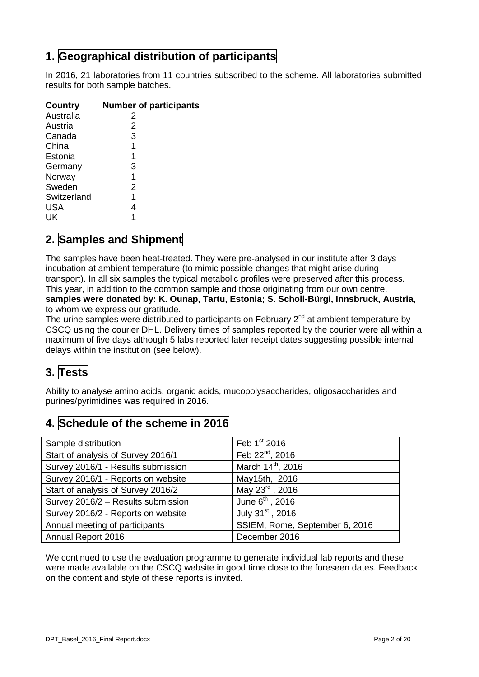# **1. Geographical distribution of participants**

In 2016, 21 laboratories from 11 countries subscribed to the scheme. All laboratories submitted results for both sample batches.

| <b>Country</b> | <b>Number of participants</b> |
|----------------|-------------------------------|
| Australia      | 2                             |
| Austria        | 2                             |
| Canada         | 3                             |
| China          | 1                             |
| Estonia        | 1                             |
| Germany        | 3                             |
| Norway         | 1                             |
| Sweden         | 2                             |
| Switzerland    | 1                             |
| <b>USA</b>     | 4                             |
| UK             |                               |

# **2. Samples and Shipment**

The samples have been heat-treated. They were pre-analysed in our institute after 3 days incubation at ambient temperature (to mimic possible changes that might arise during transport). In all six samples the typical metabolic profiles were preserved after this process. This year, in addition to the common sample and those originating from our own centre, **samples were donated by: K. Ounap, Tartu, Estonia; S. Scholl-Bürgi, Innsbruck, Austria,**  to whom we express our gratitude.

The urine samples were distributed to participants on February  $2^{nd}$  at ambient temperature by CSCQ using the courier DHL. Delivery times of samples reported by the courier were all within a maximum of five days although 5 labs reported later receipt dates suggesting possible internal delays within the institution (see below).

# **3. Tests**

Ability to analyse amino acids, organic acids, mucopolysaccharides, oligosaccharides and purines/pyrimidines was required in 2016.

# **4. Schedule of the scheme in 2016**

| Sample distribution                | Feb 1st 2016                   |
|------------------------------------|--------------------------------|
| Start of analysis of Survey 2016/1 | Feb 22 <sup>nd</sup> , 2016    |
| Survey 2016/1 - Results submission | March 14 <sup>th</sup> , 2016  |
| Survey 2016/1 - Reports on website | May15th, 2016                  |
| Start of analysis of Survey 2016/2 | May 23 <sup>rd</sup> , 2016    |
| Survey 2016/2 - Results submission | June $6th$ , 2016              |
| Survey 2016/2 - Reports on website | July 31 <sup>st</sup> , 2016   |
| Annual meeting of participants     | SSIEM, Rome, September 6, 2016 |
| Annual Report 2016                 | December 2016                  |

We continued to use the evaluation programme to generate individual lab reports and these were made available on the CSCQ website in good time close to the foreseen dates. Feedback on the content and style of these reports is invited.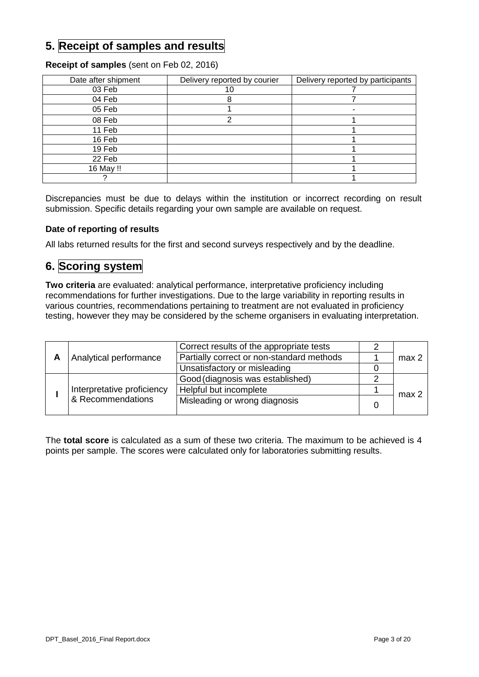# **5. Receipt of samples and results**

### **Receipt of samples** (sent on Feb 02, 2016)

| Date after shipment | Delivery reported by courier | Delivery reported by participants |  |
|---------------------|------------------------------|-----------------------------------|--|
| 03 Feb              |                              |                                   |  |
| 04 Feb              |                              |                                   |  |
| 05 Feb              |                              |                                   |  |
| 08 Feb              |                              |                                   |  |
| 11 Feb              |                              |                                   |  |
| 16 Feb              |                              |                                   |  |
| 19 Feb              |                              |                                   |  |
| 22 Feb              |                              |                                   |  |
| 16 May !!           |                              |                                   |  |
|                     |                              |                                   |  |

Discrepancies must be due to delays within the institution or incorrect recording on result submission. Specific details regarding your own sample are available on request.

### **Date of reporting of results**

All labs returned results for the first and second surveys respectively and by the deadline.

### **6. Scoring system**

**Two criteria** are evaluated: analytical performance, interpretative proficiency including recommendations for further investigations. Due to the large variability in reporting results in various countries, recommendations pertaining to treatment are not evaluated in proficiency testing, however they may be considered by the scheme organisers in evaluating interpretation.

|                            | Correct results of the appropriate tests  |                  |
|----------------------------|-------------------------------------------|------------------|
| Analytical performance     | Partially correct or non-standard methods | max <sub>2</sub> |
|                            | Unsatisfactory or misleading              |                  |
|                            | Good (diagnosis was established)          |                  |
| Interpretative proficiency | Helpful but incomplete                    | max <sub>2</sub> |
| & Recommendations          | Misleading or wrong diagnosis             |                  |

The **total score** is calculated as a sum of these two criteria. The maximum to be achieved is 4 points per sample. The scores were calculated only for laboratories submitting results.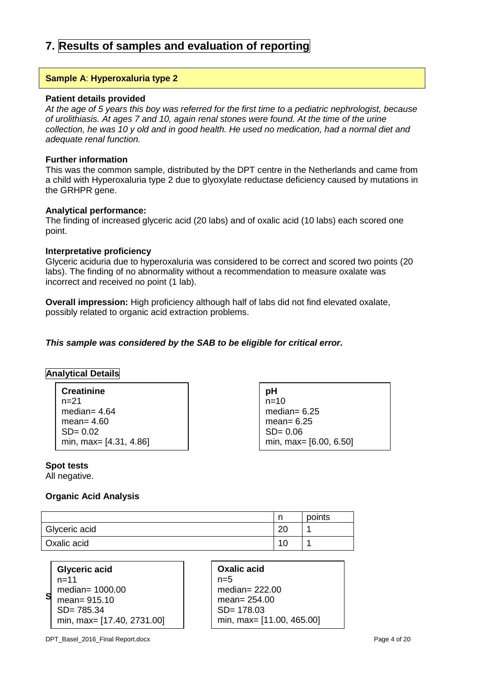# **7. Results of samples and evaluation of reporting**

#### **Sample A**: **Hyperoxaluria type 2**

#### **Patient details provided**

*At the age of 5 years this boy was referred for the first time to a pediatric nephrologist, because of urolithiasis. At ages 7 and 10, again renal stones were found. At the time of the urine collection, he was 10 y old and in good health. He used no medication, had a normal diet and adequate renal function.*

#### **Further information**

This was the common sample, distributed by the DPT centre in the Netherlands and came from a child with Hyperoxaluria type 2 due to glyoxylate reductase deficiency caused by mutations in the GRHPR gene.

#### **Analytical performance:**

The finding of increased glyceric acid (20 labs) and of oxalic acid (10 labs) each scored one point.

#### **Interpretative proficiency**

Glyceric aciduria due to hyperoxaluria was considered to be correct and scored two points (20 labs). The finding of no abnormality without a recommendation to measure oxalate was incorrect and received no point (1 lab).

**Overall impression:** High proficiency although half of labs did not find elevated oxalate, possibly related to organic acid extraction problems.

#### *This sample was considered by the SAB to be eligible for critical error.*

#### **Analytical Details**

**Creatinine** n=21 median= 4.64 mean= 4.60 SD= 0.02 min, max= [4.31, 4.86] **pH**  $n=10$ median= 6.25 mean= 6.25 SD= 0.06 min, max= [6.00, 6.50]

#### **Spot tests**

All negative.

#### **Organic Acid Analysis**

|               |          | points |
|---------------|----------|--------|
| Glyceric acid | oc<br>∠∪ |        |
| Oxalic acid   | 1 C      |        |

| <b>Glyceric acid</b>       |
|----------------------------|
| n=11                       |
| median= 1000.00            |
| mean= 915.10               |
| $SD = 785.34$              |
| min, max= [17.40, 2731.00] |

| Oxalic acid               |
|---------------------------|
| n=5                       |
| median= $222.00$          |
| mean= $254.00$            |
| $SD = 178.03$             |
| min, max= [11.00, 465.00] |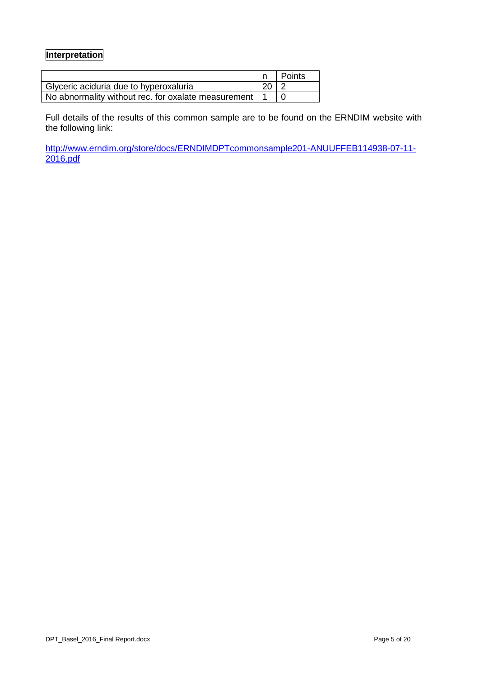### **Interpretation**

|                                                         |             | Points |
|---------------------------------------------------------|-------------|--------|
| Glyceric aciduria due to hyperoxaluria                  | $20 \mid 2$ |        |
| No abnormality without rec. for oxalate measurement   1 |             |        |

Full details of the results of this common sample are to be found on the ERNDIM website with the following link:

[http://www.erndim.org/store/docs/ERNDIMDPTcommonsample201-ANUUFFEB114938-07-11-](http://www.erndim.org/store/docs/ERNDIMDPTcommonsample201-ANUUFFEB114938-07-11-2016.pdf) [2016.pdf](http://www.erndim.org/store/docs/ERNDIMDPTcommonsample201-ANUUFFEB114938-07-11-2016.pdf)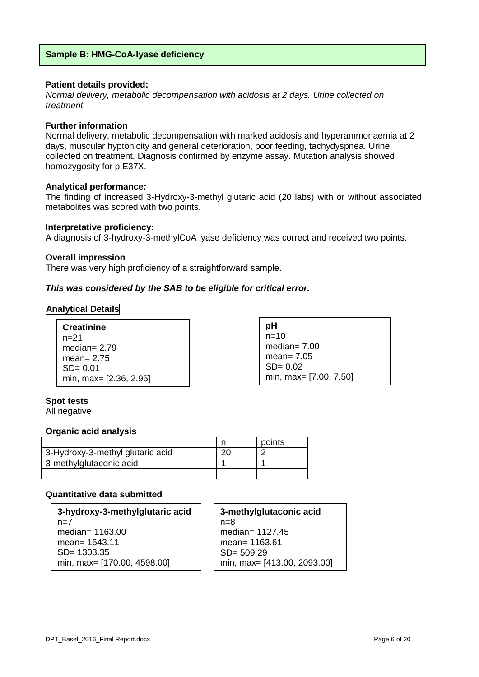#### **Patient details provided:**

*Normal delivery, metabolic decompensation with acidosis at 2 days. Urine collected on treatment.*

#### **Further information**

Normal delivery, metabolic decompensation with marked acidosis and hyperammonaemia at 2 days, muscular hyptonicity and general deterioration, poor feeding, tachydyspnea. Urine collected on treatment. Diagnosis confirmed by enzyme assay. Mutation analysis showed homozygosity for p.E37X.

#### **Analytical performance***:*

The finding of increased 3-Hydroxy-3-methyl glutaric acid (20 labs) with or without associated metabolites was scored with two points.

#### **Interpretative proficiency:**

A diagnosis of 3-hydroxy-3-methylCoA lyase deficiency was correct and received two points.

#### **Overall impression**

There was very high proficiency of a straightforward sample.

#### *This was considered by the SAB to be eligible for critical error.*

#### **Analytical Details**

| <b>Creatinine</b>      |
|------------------------|
| n=21                   |
| median= $2.79$         |
| mean= $2.75$           |
| $SD = 0.01$            |
| min, max= [2.36, 2.95] |

| рH                     |
|------------------------|
| n=10                   |
| median= $7.00$         |
| mean= $7.05$           |
| $SD = 0.02$            |
| min, max= [7.00, 7.50] |

#### **Spot tests**

All negative

#### **Organic acid analysis**

|                                  | points |
|----------------------------------|--------|
| 3-Hydroxy-3-methyl glutaric acid |        |
| 3-methylglutaconic acid          |        |
|                                  |        |

#### **Quantitative data submitted**

**3-hydroxy-3-methylglutaric acid**  $n=7$ median= 1163.00 mean= 1643.11 SD= 1303.35 min, max= [170.00, 4598.00]

**3-methylglutaconic acid**  $n=8$ median= 1127.45 mean= 1163.61 SD= 509.29 min, max= [413.00, 2093.00]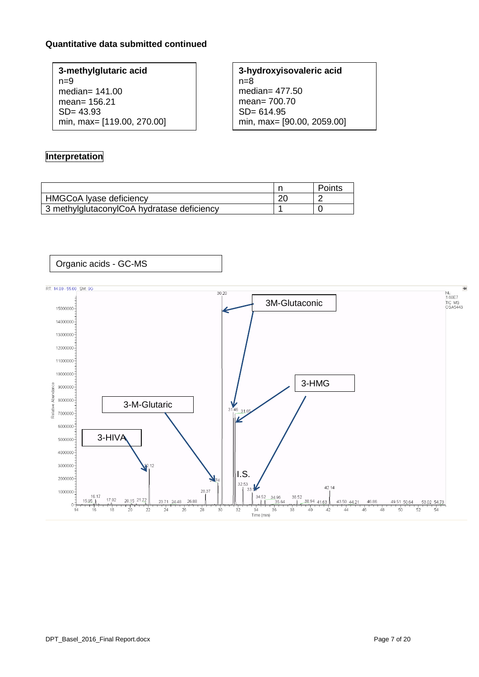### **Quantitative data submitted continued**

**3-methylglutaric acid**  $n=9$ median= 141.00 mean= 156.21 SD= 43.93 min, max= [119.00, 270.00] **3-hydroxyisovaleric acid**  $n=8$ median= 477.50 mean= 700.70 SD= 614.95 min, max= [90.00, 2059.00]

### **Interpretation**

|                                            | Points |
|--------------------------------------------|--------|
| HMGCoA Iyase deficiency                    |        |
| 3 methylglutaconylCoA hydratase deficiency |        |

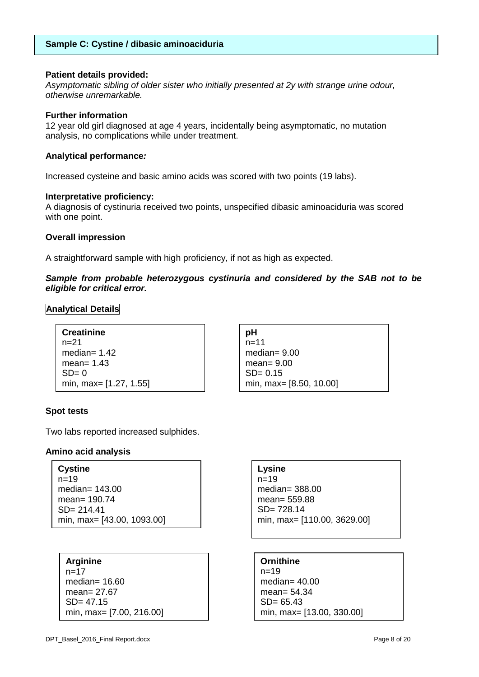#### **Sample C: Cystine / dibasic aminoaciduria**

#### **Patient details provided:**

*Asymptomatic sibling of older sister who initially presented at 2y with strange urine odour, otherwise unremarkable.*

#### **Further information**

12 year old girl diagnosed at age 4 years, incidentally being asymptomatic, no mutation analysis, no complications while under treatment.

#### **Analytical performance***:*

Increased cysteine and basic amino acids was scored with two points (19 labs).

#### **Interpretative proficiency:**

A diagnosis of cystinuria received two points, unspecified dibasic aminoaciduria was scored with one point.

#### **Overall impression**

A straightforward sample with high proficiency, if not as high as expected.

#### *Sample from probable heterozygous cystinuria and considered by the SAB not to be eligible for critical error.*

**Analytical Details**

```
Creatinine
n=21median= 1.42
mean= 1.43
SD = 0min, max= [1.27, 1.55]
```

| рH                      |
|-------------------------|
| $n = 11$                |
| median= $9.00$          |
| mean= $9.00$            |
| $SD = 0.15$             |
| min, max= [8.50, 10.00] |

#### **Spot tests**

Two labs reported increased sulphides.

#### **Amino acid analysis**

| <b>Cystine</b>             |
|----------------------------|
| $n = 19$                   |
| median= $143.00$           |
| mean= 190.74               |
| $SD = 214.41$              |
| min, max= [43.00, 1093.00] |

#### **Arginine**  $n=17$ median= 16.60 mean= 27.67 SD= 47.15 min, max= [7.00, 216.00]

#### **Lysine**

n=19 median= 388.00 mean= 559.88 SD= 728.14 min, max= [110.00, 3629.00]

**Ornithine**  $n=19$ median= 40.00 mean= 54.34 SD= 65.43 min, max= [13.00, 330.00]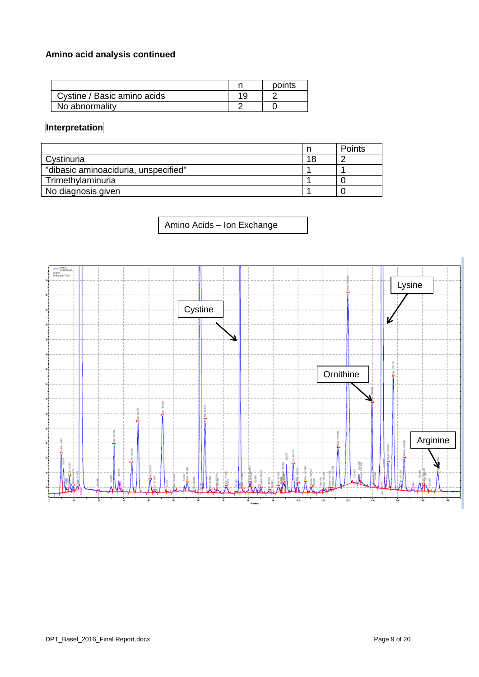## **Amino acid analysis continued**

|                             | points |
|-----------------------------|--------|
| Cystine / Basic amino acids |        |
| No abnormality              |        |

### **Interpretation**

|                                      |    | Points |
|--------------------------------------|----|--------|
| Cystinuria                           | 18 |        |
| "dibasic aminoaciduria, unspecified" |    |        |
| Trimethylaminuria                    |    |        |
| No diagnosis given                   |    |        |

Amino Acids – Ion Exchange

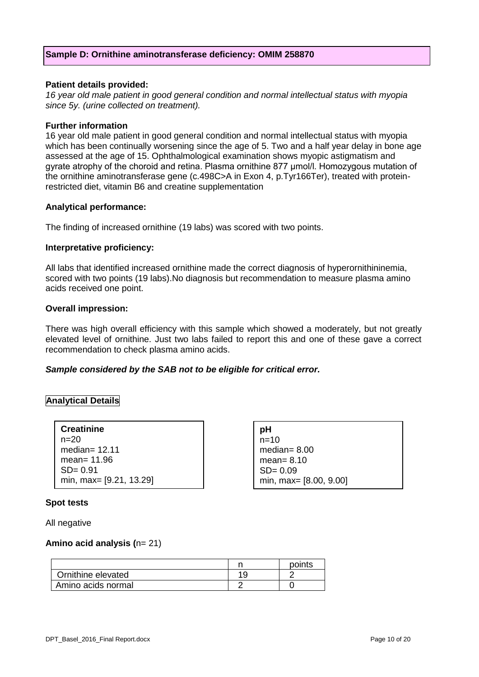#### **Sample D: Ornithine aminotransferase deficiency: OMIM 258870**

#### **Patient details provided:**

*16 year old male patient in good general condition and normal intellectual status with myopia since 5y. (urine collected on treatment).*

#### **Further information**

16 year old male patient in good general condition and normal intellectual status with myopia which has been continually worsening since the age of 5. Two and a half year delay in bone age assessed at the age of 15. Ophthalmological examination shows myopic astigmatism and gyrate atrophy of the choroid and retina. Plasma ornithine 877 μmol/l. Homozygous mutation of the ornithine aminotransferase gene (c.498C>A in Exon 4, p.Tyr166Ter), treated with proteinrestricted diet, vitamin B6 and creatine supplementation

#### **Analytical performance:**

The finding of increased ornithine (19 labs) was scored with two points.

#### **Interpretative proficiency:**

All labs that identified increased ornithine made the correct diagnosis of hyperornithininemia, scored with two points (19 labs).No diagnosis but recommendation to measure plasma amino acids received one point.

#### **Overall impression:**

There was high overall efficiency with this sample which showed a moderately, but not greatly elevated level of ornithine. Just two labs failed to report this and one of these gave a correct recommendation to check plasma amino acids.

> **pH**  $n=10$

median= 8.00 mean= 8.10  $SD = 0.09$ 

min, max= [8.00, 9.00]

#### *Sample considered by the SAB not to be eligible for critical error.*

#### **Analytical Details**

| <b>Creatinine</b>       |
|-------------------------|
| n=20                    |
| median= $12.11$         |
| mean= 11.96             |
| $SD = 0.91$             |
| min, max= [9.21, 13.29] |

#### **Spot tests**

All negative

#### **Amino acid analysis (**n= 21)

|                    | points |
|--------------------|--------|
| Ornithine elevated |        |
| Amino acids normal |        |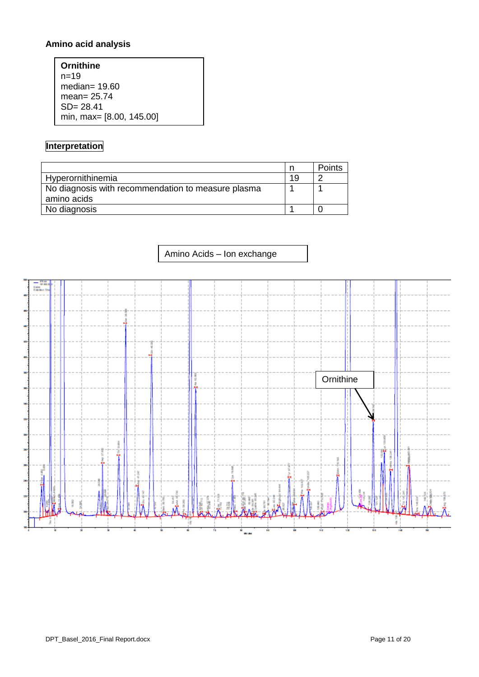## **Amino acid analysis**

| Ornithine                |
|--------------------------|
| $n = 1.9$                |
| median= $19.60$          |
| mean= $25.74$            |
| $SD = 28.41$             |
| min, max= [8.00, 145.00] |

### **Interpretation**

|                                                    |    | Points |
|----------------------------------------------------|----|--------|
| Hyperornithinemia                                  | 19 |        |
| No diagnosis with recommendation to measure plasma |    |        |
| amino acids                                        |    |        |
| No diagnosis                                       |    |        |

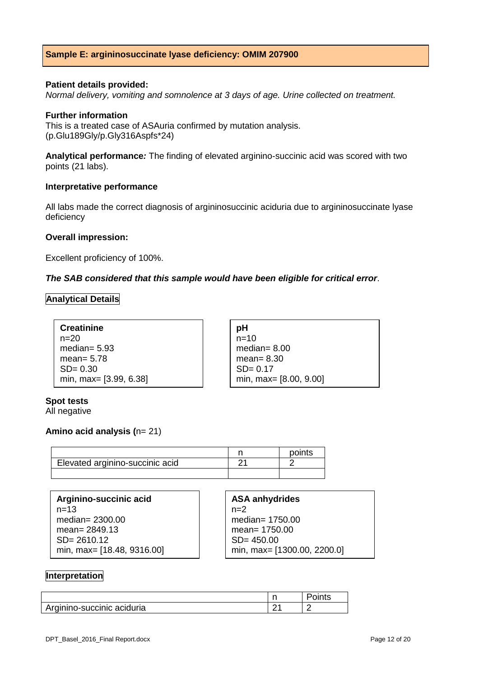#### **Sample E: argininosuccinate lyase deficiency: OMIM 207900**

#### **Patient details provided:**

*Normal delivery, vomiting and somnolence at 3 days of age. Urine collected on treatment.*

#### **Further information**

This is a treated case of ASAuria confirmed by mutation analysis. (p.Glu189Gly/p.Gly316Aspfs\*24)

**Analytical performance***:* The finding of elevated arginino-succinic acid was scored with two points (21 labs).

#### **Interpretative performance**

All labs made the correct diagnosis of argininosuccinic aciduria due to argininosuccinate lyase deficiency

#### **Overall impression:**

Excellent proficiency of 100%.

#### *The SAB considered that this sample would have been eligible for critical error*.

#### **Analytical Details**

| <b>Creatinine</b>      | рH                     |
|------------------------|------------------------|
| $n=20$                 | $n=10$                 |
| median= $5.93$         | median= $8.00$         |
| mean= $5.78$           | mean= $8.30$           |
| $SD = 0.30$            | $SD = 0.17$            |
| min, max= [3.99, 6.38] | min, max= [8.00, 9.00] |

### **Spot tests**

All negative

#### **Amino acid analysis (**n= 21)

|                                 | points |
|---------------------------------|--------|
| Elevated arginino-succinic acid |        |
|                                 |        |

| Arginino-succinic acid     | <b>ASA anhydrides</b>       |
|----------------------------|-----------------------------|
| $n = 1.3$                  | $n=2$                       |
| median= $2300.00$          | median= 1750.00             |
| mean= $2849.13$            | mean= 1750.00               |
| $SD = 2610.12$             | $SD = 450.00$               |
| min, max= [18.48, 9316.00] | min, max= [1300.00, 2200.0] |

#### **Interpretation**

|                            | . . | $ - + -$<br>ແວ |
|----------------------------|-----|----------------|
| Arginino-succinic aciduria | ົ   |                |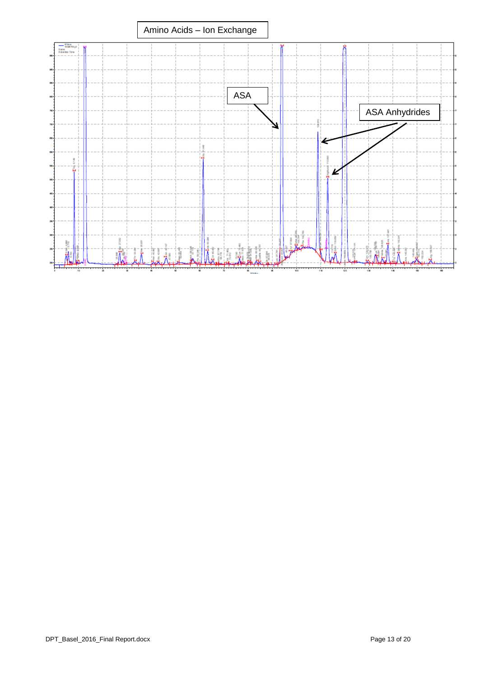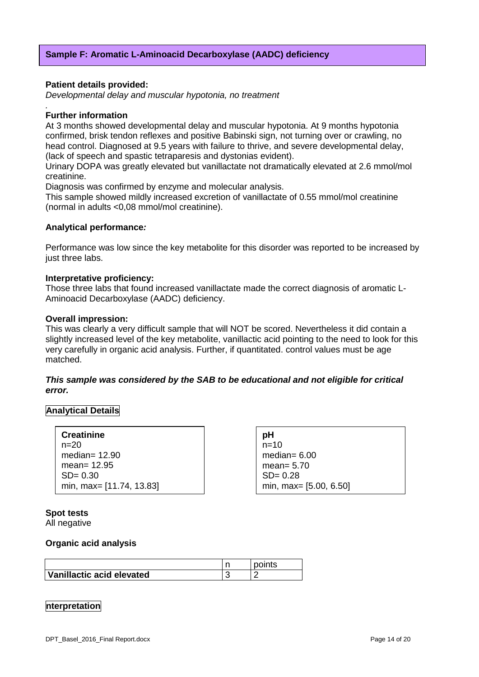#### **Patient details provided:**

*Developmental delay and muscular hypotonia, no treatment*

#### *.* **Further information**

At 3 months showed developmental delay and muscular hypotonia. At 9 months hypotonia confirmed, brisk tendon reflexes and positive Babinski sign, not turning over or crawling, no head control. Diagnosed at 9.5 years with failure to thrive, and severe developmental delay, (lack of speech and spastic tetraparesis and dystonias evident).

Urinary DOPA was greatly elevated but vanillactate not dramatically elevated at 2.6 mmol/mol creatinine.

Diagnosis was confirmed by enzyme and molecular analysis.

This sample showed mildly increased excretion of vanillactate of 0.55 mmol/mol creatinine (normal in adults <0,08 mmol/mol creatinine).

#### **Analytical performance***:*

Performance was low since the key metabolite for this disorder was reported to be increased by just three labs.

#### **Interpretative proficiency:**

Those three labs that found increased vanillactate made the correct diagnosis of aromatic L-Aminoacid Decarboxylase (AADC) deficiency.

#### **Overall impression:**

This was clearly a very difficult sample that will NOT be scored. Nevertheless it did contain a slightly increased level of the key metabolite, vanillactic acid pointing to the need to look for this very carefully in organic acid analysis. Further, if quantitated. control values must be age matched.

#### *This sample was considered by the SAB to be educational and not eligible for critical error.*

#### **Analytical Details**

| <b>Creatinine</b>        |  |
|--------------------------|--|
| $n=20$                   |  |
| median= $12.90$          |  |
| mean= $12.95$            |  |
| $SD = 0.30$              |  |
| min, max= [11.74, 13.83] |  |

**pH**  $n=10$ median= $6.00$ mean= 5.70  $SD = 0.28$ min, max= [5.00, 6.50]

**Spot tests**  All negative

#### **Organic acid analysis**

| Vanillactic acid elevated |  |
|---------------------------|--|

#### **nterpretation**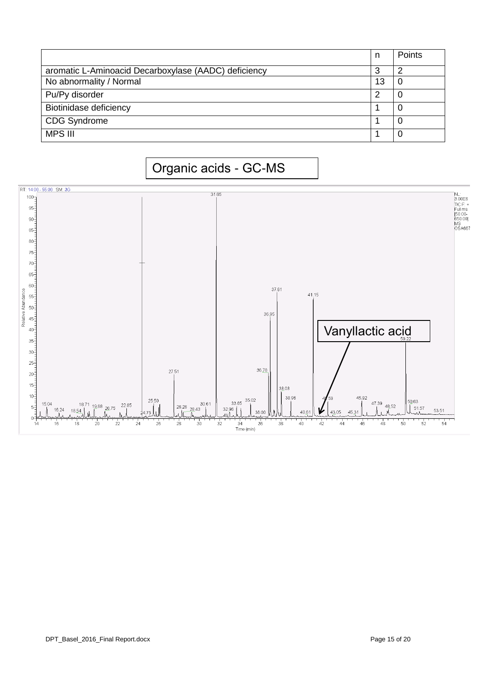|                                                      | n  | Points |
|------------------------------------------------------|----|--------|
| aromatic L-Aminoacid Decarboxylase (AADC) deficiency | 3  |        |
| No abnormality / Normal                              | 13 |        |
| Pu/Py disorder                                       | ⌒  | 0      |
| Biotinidase deficiency                               |    |        |
| <b>CDG Syndrome</b>                                  |    |        |
| <b>MPS III</b>                                       |    | 0      |

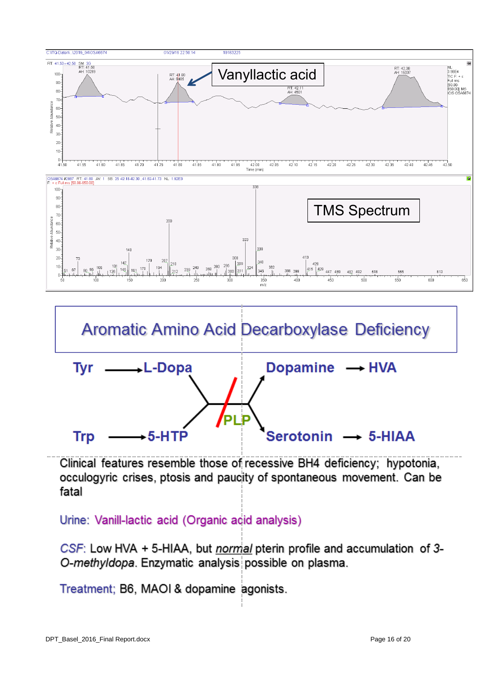



Clinical features resemble those of recessive BH4 deficiency; hypotonia, occulogyric crises, ptosis and paucity of spontaneous movement. Can be fatal

Urine: Vanill-lactic acid (Organic acid analysis)

CSF: Low HVA + 5-HIAA, but normal pterin profile and accumulation of 3-O-methyldopa. Enzymatic analysis possible on plasma.

Treatment; B6, MAOI & dopamine agonists.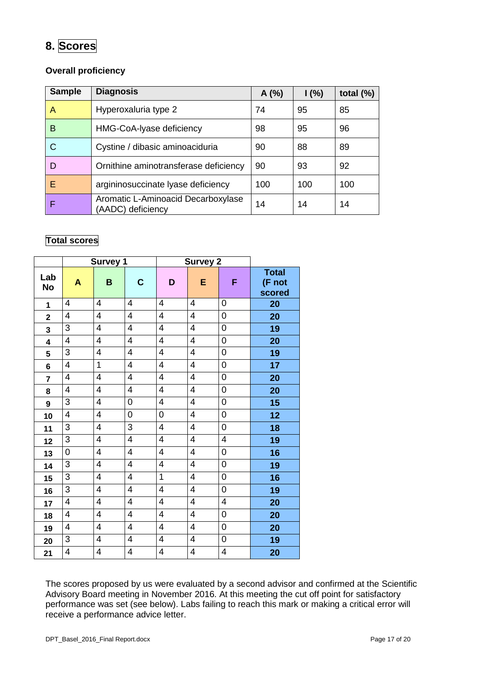# **8. Scores**

### **Overall proficiency**

| <b>Sample</b> | <b>Diagnosis</b>                                        | A(%) | 1(%) | total $(\%)$ |
|---------------|---------------------------------------------------------|------|------|--------------|
| A             | Hyperoxaluria type 2                                    | 74   | 95   | 85           |
| B             | HMG-CoA-Iyase deficiency                                | 98   | 95   | 96           |
| С             | Cystine / dibasic aminoaciduria                         | 90   | 88   | 89           |
| D             | Ornithine aminotransferase deficiency                   | 90   | 93   | 92           |
| F             | argininosuccinate lyase deficiency                      | 100  | 100  | 100          |
| F             | Aromatic L-Aminoacid Decarboxylase<br>(AADC) deficiency | 14   | 14   | 14           |

### **Total scores**

|                |                          | <b>Survey 1</b>          |                         |                          | <b>Survey 2</b>         |                  |                                  |
|----------------|--------------------------|--------------------------|-------------------------|--------------------------|-------------------------|------------------|----------------------------------|
| Lab<br>No      | A                        | B                        | $\mathbf C$             | D                        | E                       | F                | <b>Total</b><br>(F not<br>scored |
| $\mathbf{1}$   | 4                        | 4                        | 4                       | 4                        | 4                       | 0                | 20                               |
| $\mathbf 2$    | 4                        | 4                        | 4                       | $\overline{\mathcal{A}}$ | 4                       | 0                | 20                               |
| 3              | 3                        | 4                        | 4                       | 4                        | 4                       | 0                | 19                               |
| 4              | $\overline{4}$           | 4                        | 4                       | 4                        | $\overline{4}$          | 0                | 20                               |
| 5              | 3                        | $\overline{\mathbf{4}}$  | $\overline{4}$          | $\overline{\mathcal{A}}$ | 4                       | 0                | 19                               |
| 6              | 4                        | 1                        | 4                       | $\overline{4}$           | 4                       | 0                | 17                               |
| $\overline{7}$ | $\overline{4}$           | $\overline{4}$           | 4                       | $\overline{4}$           | $\overline{4}$          | $\mathbf 0$      | 20                               |
| 8              | $\overline{4}$           | 4                        | 4                       | $\overline{4}$           | $\overline{4}$          | 0                | 20                               |
| 9              | $\overline{3}$           | $\overline{4}$           | 0                       | $\overline{\mathbf{4}}$  | $\overline{4}$          | $\mathbf 0$      | 15                               |
| 10             | $\overline{\mathcal{A}}$ | 4                        | $\mathbf 0$             | $\mathbf 0$              | $\overline{\mathbf{4}}$ | 0                | 12                               |
| 11             | 3                        | 4                        | 3                       | $\overline{4}$           | $\overline{4}$          | $\mathbf 0$      | 18                               |
| 12             | 3                        | $\overline{\mathbf{4}}$  | $\overline{\mathbf{4}}$ | $\overline{\mathbf{4}}$  | $\overline{\mathbf{4}}$ | 4                | 19                               |
| 13             | 0                        | 4                        | 4                       | $\overline{4}$           | $\overline{4}$          | 0                | 16                               |
| 14             | 3                        | 4                        | $\overline{\mathbf{4}}$ | $\overline{4}$           | $\overline{\mathbf{4}}$ | 0                | 19                               |
| 15             | $\overline{3}$           | 4                        | 4                       | $\overline{1}$           | $\overline{\mathbf{4}}$ | 0                | 16                               |
| 16             | 3                        | 4                        | 4                       | 4                        | 4                       | $\boldsymbol{0}$ | 19                               |
| 17             | 4                        | 4                        | 4                       | 4                        | 4                       | 4                | 20                               |
| 18             | 4                        | $\overline{\mathcal{A}}$ | 4                       | $\overline{\mathcal{A}}$ | 4                       | $\boldsymbol{0}$ | 20                               |
| 19             | 4                        | 4                        | 4                       | 4                        | 4                       | 0                | 20                               |
| 20             | 3                        | $\overline{4}$           | $\overline{4}$          | $\overline{4}$           | $\overline{\mathbf{4}}$ | 0                | 19                               |
| 21             | 4                        | 4                        | 4                       | $\overline{\mathbf{4}}$  | 4                       | 4                | 20                               |

The scores proposed by us were evaluated by a second advisor and confirmed at the Scientific Advisory Board meeting in November 2016. At this meeting the cut off point for satisfactory performance was set (see below). Labs failing to reach this mark or making a critical error will receive a performance advice letter.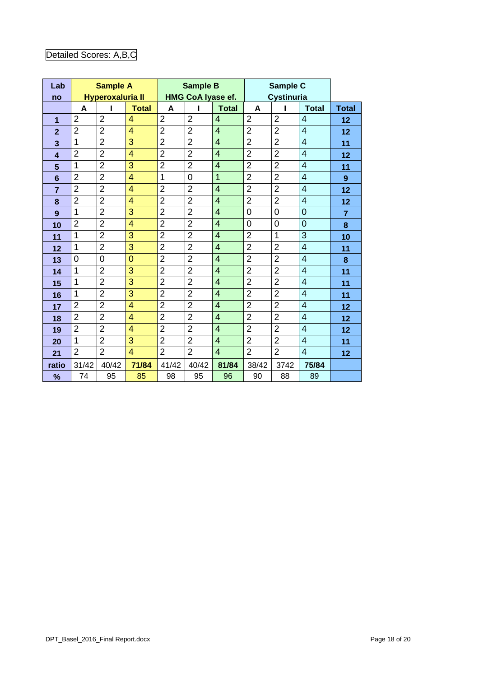# Detailed Scores: A,B,C

| Lab            |                     | <b>Sample A</b>         |                   |                     | <b>Sample B</b><br><b>HMG CoA Iyase ef.</b> |                   |                | Sample C<br><b>Cystinuria</b> |                   |                |  |
|----------------|---------------------|-------------------------|-------------------|---------------------|---------------------------------------------|-------------------|----------------|-------------------------------|-------------------|----------------|--|
| no             |                     | <b>Hyperoxaluria II</b> |                   |                     |                                             | A<br>п            |                |                               |                   |                |  |
|                | A<br>$\overline{2}$ | $\overline{2}$          | <b>Total</b><br>4 | A<br>$\overline{2}$ | $\overline{2}$                              | <b>Total</b><br>4 | $\overline{2}$ | $\overline{2}$                | <b>Total</b><br>4 | <b>Total</b>   |  |
| $\mathbf 1$    | $\overline{2}$      | $\overline{2}$          | $\overline{4}$    | $\overline{2}$      | $\overline{2}$                              | $\overline{4}$    | $\overline{2}$ | $\overline{2}$                | $\overline{4}$    | 12             |  |
| $\overline{2}$ |                     |                         |                   |                     |                                             |                   |                |                               |                   | 12             |  |
| 3              | $\mathbf{1}$        | $\overline{2}$          | 3                 | $\overline{2}$      | $\overline{2}$                              | $\overline{4}$    | $\overline{2}$ | $\overline{2}$                | $\overline{4}$    | 11             |  |
| $\overline{4}$ | $\overline{2}$      | $\overline{2}$          | 4                 | $\overline{2}$      | $\overline{2}$                              | $\overline{4}$    | $\overline{2}$ | $\overline{2}$                | $\overline{4}$    | 12             |  |
| 5              | 1                   | $\overline{2}$          | 3                 | $\overline{2}$      | $\overline{2}$                              | $\overline{4}$    | $\overline{2}$ | $\overline{2}$                | 4                 | 11             |  |
| 6              | $\overline{2}$      | $\overline{2}$          | 4                 | 1                   | $\overline{0}$                              | 1                 | $\overline{2}$ | $\overline{2}$                | $\overline{4}$    | 9              |  |
| $\overline{7}$ | $\overline{2}$      | $\overline{2}$          | 4                 | $\overline{2}$      | $\overline{2}$                              | $\overline{4}$    | $\overline{2}$ | $\overline{2}$                | $\overline{4}$    | 12             |  |
| 8              | $\overline{2}$      | $\overline{2}$          | $\overline{4}$    | $\overline{2}$      | $\overline{2}$                              | $\overline{4}$    | $\overline{2}$ | $\overline{2}$                | $\overline{4}$    | 12             |  |
| 9              | $\overline{1}$      | $\overline{2}$          | 3                 | $\overline{2}$      | $\overline{2}$                              | $\overline{4}$    | $\overline{0}$ | $\overline{0}$                | 0                 | $\overline{7}$ |  |
| 10             | $\overline{2}$      | $\overline{2}$          | $\overline{4}$    | $\overline{2}$      | $\overline{2}$                              | $\overline{4}$    | $\overline{0}$ | $\overline{0}$                | $\overline{0}$    | 8              |  |
| 11             | 1                   | $\overline{2}$          | 3                 | $\overline{2}$      | $\overline{2}$                              | $\overline{4}$    | $\overline{2}$ | 1                             | 3                 | 10             |  |
| 12             | $\mathbf 1$         | $\overline{2}$          | 3                 | $\overline{2}$      | $\overline{2}$                              | $\overline{4}$    | $\overline{2}$ | $\overline{2}$                | $\overline{4}$    | 11             |  |
| 13             | 0                   | 0                       | $\overline{0}$    | $\overline{2}$      | $\overline{2}$                              | $\overline{4}$    | $\overline{2}$ | $\overline{2}$                | 4                 | 8              |  |
| 14             | 1                   | $\overline{2}$          | 3                 | $\overline{2}$      | $\overline{2}$                              | $\overline{4}$    | $\overline{2}$ | $\overline{2}$                | $\overline{4}$    | 11             |  |
| 15             | $\mathbf{1}$        | $\overline{2}$          | 3                 | $\overline{2}$      | $\overline{2}$                              | $\overline{4}$    | $\overline{2}$ | $\overline{2}$                | $\overline{4}$    | 11             |  |
| 16             | 1                   | $\overline{2}$          | 3                 | $\overline{2}$      | $\overline{2}$                              | $\overline{4}$    | $\overline{2}$ | $\overline{2}$                | $\overline{4}$    | 11             |  |
| 17             | $\overline{2}$      | $\overline{2}$          | $\overline{4}$    | $\overline{2}$      | $\overline{2}$                              | $\overline{4}$    | $\overline{2}$ | $\overline{2}$                | $\overline{4}$    | 12             |  |
| 18             | $\overline{2}$      | $\overline{2}$          | 4                 | $\overline{2}$      | $\overline{2}$                              | $\overline{4}$    | $\overline{2}$ | $\overline{2}$                | 4                 | 12             |  |
| 19             | $\overline{2}$      | $\overline{2}$          | 4                 | $\overline{2}$      | $\overline{2}$                              | $\overline{4}$    | $\overline{2}$ | $\overline{2}$                | $\overline{4}$    | 12             |  |
| 20             | 1                   | $\overline{2}$          | 3                 | $\overline{2}$      | $\overline{2}$                              | $\overline{4}$    | $\overline{2}$ | $\overline{2}$                | $\overline{4}$    | 11             |  |
| 21             | $\overline{2}$      | $\overline{2}$          | $\overline{4}$    | $\overline{2}$      | $\overline{2}$                              | $\overline{4}$    | $\overline{2}$ | $\overline{2}$                | $\overline{4}$    | 12             |  |
| ratio          | 31/42               | 40/42                   | 71/84             | 41/42               | 40/42                                       | 81/84             | 38/42          | 3742                          | 75/84             |                |  |
|                | 74                  | 95                      | 85                | 98                  | 95                                          | 96                | 90             | 88                            | 89                |                |  |
| %              |                     |                         |                   |                     |                                             |                   |                |                               |                   |                |  |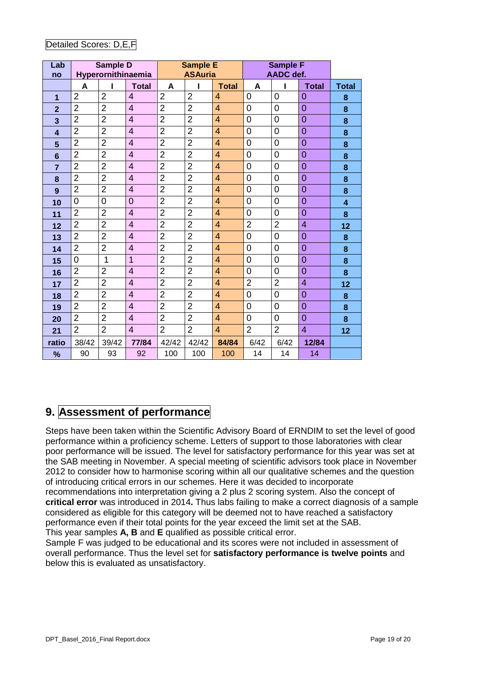| Lab<br>no               |                | Sample D<br>Hyperornithinaemia |                | <b>Sample E</b><br><b>ASAuria</b> |                |                | <b>Sample F</b><br>AADC def. |                |                |              |
|-------------------------|----------------|--------------------------------|----------------|-----------------------------------|----------------|----------------|------------------------------|----------------|----------------|--------------|
|                         | A              |                                | <b>Total</b>   | A                                 | ı              | <b>Total</b>   | A                            | ı              | <b>Total</b>   | <b>Total</b> |
| 1                       | $\overline{2}$ | $\overline{2}$                 | 4              | $\overline{2}$                    | $\overline{2}$ | 4              | $\overline{0}$               | $\overline{0}$ | 0              | 8            |
| $\overline{2}$          | $\overline{2}$ | $\overline{2}$                 | $\overline{4}$ | $\overline{2}$                    | $\overline{2}$ | 4              | 0                            | 0              | $\overline{0}$ | 8            |
| 3                       | $\overline{2}$ | $\overline{2}$                 | $\overline{4}$ | $\overline{2}$                    | $\overline{2}$ | $\overline{4}$ | $\mathbf 0$                  | $\overline{0}$ | $\overline{0}$ | 8            |
| $\overline{\mathbf{A}}$ | $\overline{2}$ | $\overline{2}$                 | $\overline{4}$ | $\overline{2}$                    | $\overline{2}$ | $\overline{4}$ | $\overline{0}$               | $\overline{0}$ | $\overline{0}$ | 8            |
| 5                       | $\overline{2}$ | $\overline{2}$                 | $\overline{4}$ | $\overline{2}$                    | $\overline{2}$ | $\overline{4}$ | $\mathbf 0$                  | $\overline{0}$ | $\overline{0}$ | $\bf{8}$     |
| $6\phantom{1}6$         | $\overline{2}$ | $\overline{2}$                 | $\overline{4}$ | $\overline{2}$                    | $\overline{2}$ | $\overline{4}$ | $\overline{0}$               | $\overline{0}$ | $\overline{0}$ | 8            |
| $\overline{7}$          | $\overline{2}$ | $\overline{2}$                 | $\overline{4}$ | $\overline{2}$                    | $\overline{2}$ | 4              | 0                            | $\mathbf 0$    | $\overline{0}$ | 8            |
| 8                       | $\overline{2}$ | $\overline{2}$                 | $\overline{4}$ | $\overline{2}$                    | $\overline{2}$ | 4              | $\overline{0}$               | $\overline{0}$ | $\overline{0}$ | 8            |
| 9                       | $\overline{2}$ | $\overline{2}$                 | $\overline{4}$ | $\overline{2}$                    | $\overline{2}$ | $\overline{4}$ | $\overline{0}$               | $\overline{0}$ | $\overline{0}$ | 8            |
| 10                      | 0              | $\mathbf 0$                    | $\overline{0}$ | $\overline{2}$                    | $\overline{2}$ | $\overline{4}$ | 0                            | 0              | $\overline{0}$ | 4            |
| 11                      | $\overline{2}$ | $\overline{2}$                 | $\overline{4}$ | $\overline{2}$                    | $\overline{2}$ | $\overline{4}$ | $\overline{0}$               | $\overline{0}$ | $\overline{0}$ | 8            |
| 12                      | $\overline{2}$ | $\overline{2}$                 | $\overline{4}$ | $\overline{2}$                    | $\overline{2}$ | $\overline{4}$ | $\overline{2}$               | $\overline{2}$ | $\overline{4}$ | 12           |
| 13                      | $\overline{2}$ | $\overline{2}$                 | $\overline{4}$ | $\overline{2}$                    | $\overline{2}$ | $\overline{4}$ | 0                            | $\overline{0}$ | $\overline{0}$ | 8            |
| 14                      | $\overline{2}$ | $\overline{2}$                 | $\overline{4}$ | $\overline{2}$                    | $\overline{2}$ | $\overline{4}$ | $\overline{0}$               | $\overline{0}$ | $\overline{0}$ | 8            |
| 15                      | $\overline{0}$ | $\mathbf{1}$                   | $\overline{1}$ | $\overline{2}$                    | $\overline{2}$ | $\overline{4}$ | 0                            | $\overline{0}$ | $\overline{0}$ | 8            |
| 16                      | $\overline{2}$ | $\overline{2}$                 | $\overline{4}$ | $\overline{2}$                    | $\overline{2}$ | $\overline{4}$ | 0                            | 0              | $\overline{0}$ | 8            |
| 17                      | $\overline{2}$ | $\overline{2}$                 | $\overline{4}$ | $\overline{2}$                    | $\overline{2}$ | $\overline{4}$ | $\overline{2}$               | $\overline{2}$ | $\overline{4}$ | 12           |
| 18                      | $\overline{2}$ | $\overline{2}$                 | $\overline{4}$ | $\overline{2}$                    | $\overline{2}$ | $\overline{4}$ | 0                            | 0              | $\overline{0}$ | 8            |
| 19                      | $\overline{2}$ | $\overline{2}$                 | $\overline{4}$ | $\overline{2}$                    | $\overline{2}$ | $\overline{4}$ | 0                            | $\overline{0}$ | $\overline{0}$ | 8            |
| 20                      | $\overline{2}$ | $\overline{2}$                 | $\overline{4}$ | $\overline{2}$                    | $\overline{2}$ | $\overline{4}$ | 0                            | $\overline{0}$ | $\overline{0}$ | 8            |
| 21                      | $\overline{2}$ | $\overline{2}$                 | $\overline{4}$ | $\overline{2}$                    | $\overline{2}$ | $\overline{4}$ | $\overline{2}$               | $\overline{2}$ | $\overline{4}$ | 12           |
| ratio                   | 38/42          | 39/42                          | 77/84          | 42/42                             | 42/42          | 84/84          | 6/42                         | 6/42           | 12/84          |              |
| %                       | 90             | 93                             | 92             | 100                               | 100            | 100            | 14                           | 14             | 14             |              |

### Detailed Scores: D,E,F

# **9. Assessment of performance**

Steps have been taken within the Scientific Advisory Board of ERNDIM to set the level of good performance within a proficiency scheme. Letters of support to those laboratories with clear poor performance will be issued. The level for satisfactory performance for this year was set at the SAB meeting in November. A special meeting of scientific advisors took place in November 2012 to consider how to harmonise scoring within all our qualitative schemes and the question of introducing critical errors in our schemes. Here it was decided to incorporate recommendations into interpretation giving a 2 plus 2 scoring system. Also the concept of **critical error** was introduced in 2014**.** Thus labs failing to make a correct diagnosis of a sample considered as eligible for this category will be deemed not to have reached a satisfactory performance even if their total points for the year exceed the limit set at the SAB. This year samples **A, B** and **E** qualified as possible critical error.

Sample F was judged to be educational and its scores were not included in assessment of overall performance. Thus the level set for **satisfactory performance is twelve points** and below this is evaluated as unsatisfactory.